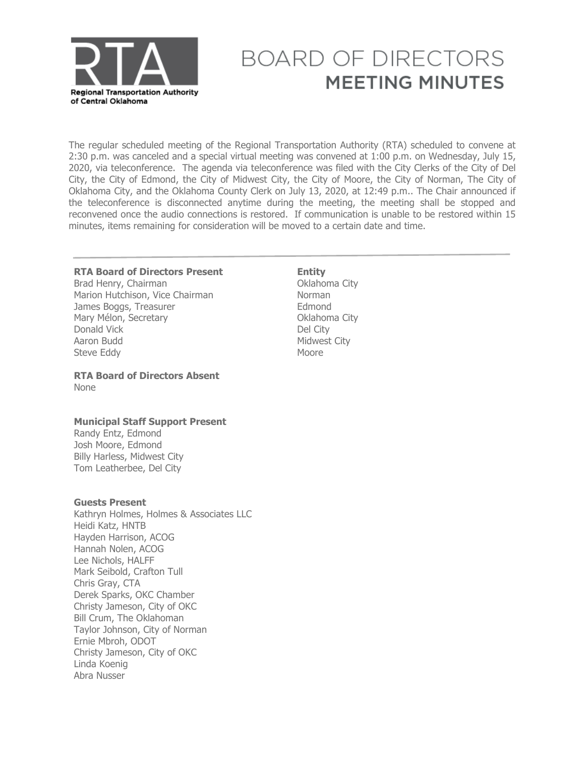

# **BOARD OF DIRECTORS MEETING MINUTES**

The regular scheduled meeting of the Regional Transportation Authority (RTA) scheduled to convene at 2:30 p.m. was canceled and a special virtual meeting was convened at 1:00 p.m. on Wednesday, July 15, 2020, via teleconference. The agenda via teleconference was filed with the City Clerks of the City of Del City, the City of Edmond, the City of Midwest City, the City of Moore, the City of Norman, The City of Oklahoma City, and the Oklahoma County Clerk on July 13, 2020, at 12:49 p.m.. The Chair announced if the teleconference is disconnected anytime during the meeting, the meeting shall be stopped and reconvened once the audio connections is restored. If communication is unable to be restored within 15 minutes, items remaining for consideration will be moved to a certain date and time.

# **RTA Board of Directors Present Entity<br>Brad Henry, Chairman by The Communisty Communisty**

Brad Henry, Chairman<br>
Marion Hutchison, Vice Chairman<br>
Marion Hutchison, Vice Chairman Marion Hutchison, Vice Chairman<br>
Iames Boggs, Treasurer James Boggs, Treasurer<br>Mary Mélon, Secretary en accessor de la Collahoma City Mary Mélon, Secretary **Calculation Contract City**<br>
Del City<br>
Del City Donald Vick<br>Aaron Budd Steve Eddy

#### **RTA Board of Directors Absent**  None

#### **Municipal Staff Support Present**

Randy Entz, Edmond Josh Moore, Edmond Billy Harless, Midwest City Tom Leatherbee, Del City

#### **Guests Present**

Kathryn Holmes, Holmes & Associates LLC Heidi Katz, HNTB Hayden Harrison, ACOG Hannah Nolen, ACOG Lee Nichols, HALFF Mark Seibold, Crafton Tull Chris Gray, CTA Derek Sparks, OKC Chamber Christy Jameson, City of OKC Bill Crum, The Oklahoman Taylor Johnson, City of Norman Ernie Mbroh, ODOT Christy Jameson, City of OKC Linda Koenig Abra Nusser

# Midwest City<br>Moore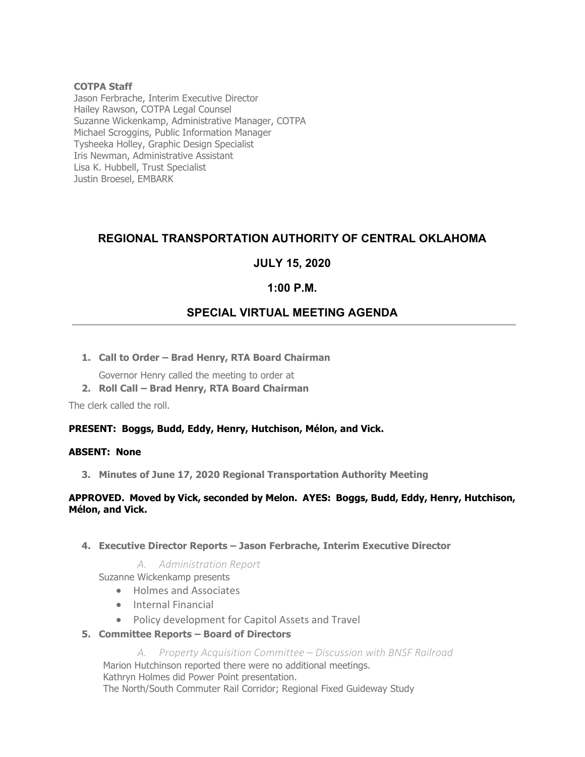#### **COTPA Staff**

Jason Ferbrache, Interim Executive Director Hailey Rawson, COTPA Legal Counsel Suzanne Wickenkamp, Administrative Manager, COTPA Michael Scroggins, Public Information Manager Tysheeka Holley, Graphic Design Specialist Iris Newman, Administrative Assistant Lisa K. Hubbell, Trust Specialist Justin Broesel, EMBARK

# **REGIONAL TRANSPORTATION AUTHORITY OF CENTRAL OKLAHOMA**

## **JULY 15, 2020**

## **1:00 P.M.**

# **SPECIAL VIRTUAL MEETING AGENDA**

**1. Call to Order – Brad Henry, RTA Board Chairman**

Governor Henry called the meeting to order at

**2. Roll Call – Brad Henry, RTA Board Chairman**

The clerk called the roll.

#### **PRESENT: Boggs, Budd, Eddy, Henry, Hutchison, Mélon, and Vick.**

#### **ABSENT: None**

**3. Minutes of June 17, 2020 Regional Transportation Authority Meeting**

#### **APPROVED. Moved by Vick, seconded by Melon. AYES: Boggs, Budd, Eddy, Henry, Hutchison, Mélon, and Vick.**

**4. Executive Director Reports – Jason Ferbrache, Interim Executive Director**

#### *A. Administration Report*

Suzanne Wickenkamp presents

- Holmes and Associates
- Internal Financial
- Policy development for Capitol Assets and Travel
- **5. Committee Reports – Board of Directors**

*A. Property Acquisition Committee – Discussion with BNSF Railroad* Marion Hutchinson reported there were no additional meetings. Kathryn Holmes did Power Point presentation. The North/South Commuter Rail Corridor; Regional Fixed Guideway Study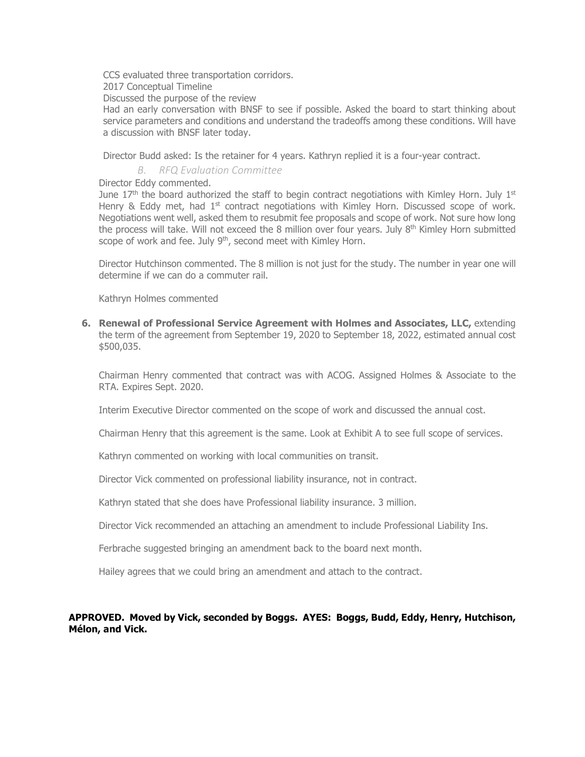CCS evaluated three transportation corridors.

2017 Conceptual Timeline

Discussed the purpose of the review

Had an early conversation with BNSF to see if possible. Asked the board to start thinking about service parameters and conditions and understand the tradeoffs among these conditions. Will have a discussion with BNSF later today.

Director Budd asked: Is the retainer for 4 years. Kathryn replied it is a four-year contract.

*B. RFQ Evaluation Committee*

#### Director Eddy commented.

June 17<sup>th</sup> the board authorized the staff to begin contract negotiations with Kimley Horn. July 1<sup>st</sup> Henry & Eddy met, had  $1<sup>st</sup>$  contract negotiations with Kimley Horn. Discussed scope of work. Negotiations went well, asked them to resubmit fee proposals and scope of work. Not sure how long the process will take. Will not exceed the 8 million over four years. July 8<sup>th</sup> Kimley Horn submitted scope of work and fee. July 9<sup>th</sup>, second meet with Kimley Horn.

Director Hutchinson commented. The 8 million is not just for the study. The number in year one will determine if we can do a commuter rail.

Kathryn Holmes commented

**6. Renewal of Professional Service Agreement with Holmes and Associates, LLC,** extending the term of the agreement from September 19, 2020 to September 18, 2022, estimated annual cost \$500,035.

Chairman Henry commented that contract was with ACOG. Assigned Holmes & Associate to the RTA. Expires Sept. 2020.

Interim Executive Director commented on the scope of work and discussed the annual cost.

Chairman Henry that this agreement is the same. Look at Exhibit A to see full scope of services.

Kathryn commented on working with local communities on transit.

Director Vick commented on professional liability insurance, not in contract.

Kathryn stated that she does have Professional liability insurance. 3 million.

Director Vick recommended an attaching an amendment to include Professional Liability Ins.

Ferbrache suggested bringing an amendment back to the board next month.

Hailey agrees that we could bring an amendment and attach to the contract.

#### **APPROVED. Moved by Vick, seconded by Boggs. AYES: Boggs, Budd, Eddy, Henry, Hutchison, Mélon, and Vick.**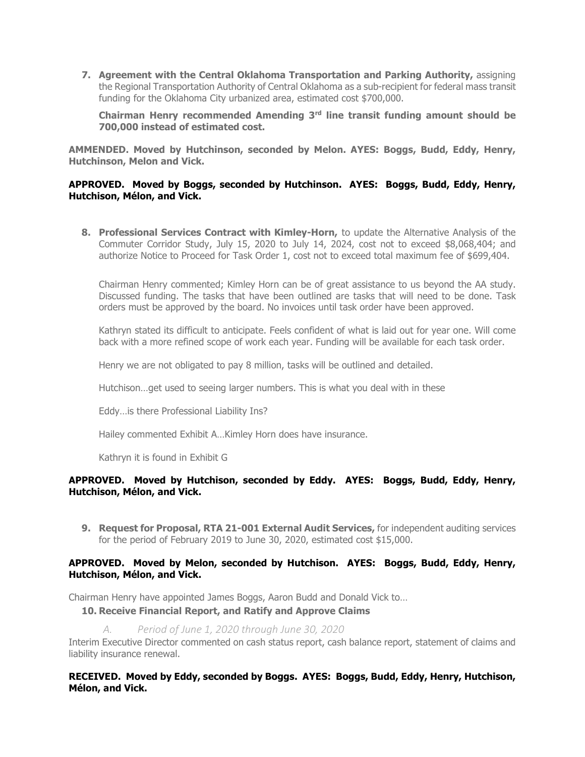**7. Agreement with the Central Oklahoma Transportation and Parking Authority,** assigning the Regional Transportation Authority of Central Oklahoma as a sub-recipient for federal mass transit funding for the Oklahoma City urbanized area, estimated cost \$700,000.

**Chairman Henry recommended Amending 3rd line transit funding amount should be 700,000 instead of estimated cost.**

**AMMENDED. Moved by Hutchinson, seconded by Melon. AYES: Boggs, Budd, Eddy, Henry, Hutchinson, Melon and Vick.**

#### **APPROVED. Moved by Boggs, seconded by Hutchinson. AYES: Boggs, Budd, Eddy, Henry, Hutchison, Mélon, and Vick.**

**8. Professional Services Contract with Kimley-Horn,** to update the Alternative Analysis of the Commuter Corridor Study, July 15, 2020 to July 14, 2024, cost not to exceed \$8,068,404; and authorize Notice to Proceed for Task Order 1, cost not to exceed total maximum fee of \$699,404.

Chairman Henry commented; Kimley Horn can be of great assistance to us beyond the AA study. Discussed funding. The tasks that have been outlined are tasks that will need to be done. Task orders must be approved by the board. No invoices until task order have been approved.

Kathryn stated its difficult to anticipate. Feels confident of what is laid out for year one. Will come back with a more refined scope of work each year. Funding will be available for each task order.

Henry we are not obligated to pay 8 million, tasks will be outlined and detailed.

Hutchison…get used to seeing larger numbers. This is what you deal with in these

Eddy…is there Professional Liability Ins?

Hailey commented Exhibit A…Kimley Horn does have insurance.

Kathryn it is found in Exhibit G

#### **APPROVED. Moved by Hutchison, seconded by Eddy. AYES: Boggs, Budd, Eddy, Henry, Hutchison, Mélon, and Vick.**

**9. Request for Proposal, RTA 21-001 External Audit Services,** for independent auditing services for the period of February 2019 to June 30, 2020, estimated cost \$15,000.

#### **APPROVED. Moved by Melon, seconded by Hutchison. AYES: Boggs, Budd, Eddy, Henry, Hutchison, Mélon, and Vick.**

Chairman Henry have appointed James Boggs, Aaron Budd and Donald Vick to…

**10. Receive Financial Report, and Ratify and Approve Claims**

*A. Period of June 1, 2020 through June 30, 2020*

Interim Executive Director commented on cash status report, cash balance report, statement of claims and liability insurance renewal.

#### **RECEIVED. Moved by Eddy, seconded by Boggs. AYES: Boggs, Budd, Eddy, Henry, Hutchison, Mélon, and Vick.**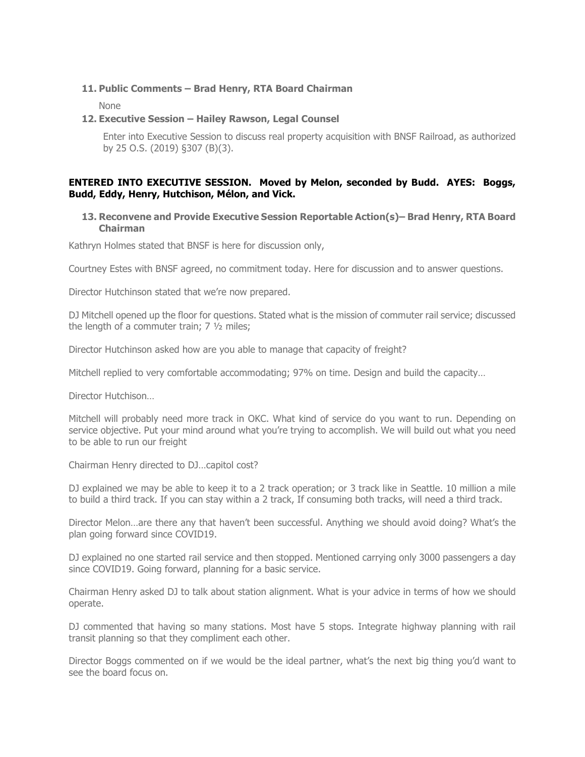#### **11. Public Comments – Brad Henry, RTA Board Chairman**

None

#### **12. Executive Session – Hailey Rawson, Legal Counsel**

Enter into Executive Session to discuss real property acquisition with BNSF Railroad, as authorized by 25 O.S. (2019) §307 (B)(3).

#### **ENTERED INTO EXECUTIVE SESSION. Moved by Melon, seconded by Budd. AYES: Boggs, Budd, Eddy, Henry, Hutchison, Mélon, and Vick.**

#### **13. Reconvene and Provide Executive Session Reportable Action(s)– Brad Henry, RTA Board Chairman**

Kathryn Holmes stated that BNSF is here for discussion only,

Courtney Estes with BNSF agreed, no commitment today. Here for discussion and to answer questions.

Director Hutchinson stated that we're now prepared.

DJ Mitchell opened up the floor for questions. Stated what is the mission of commuter rail service; discussed the length of a commuter train; 7 ½ miles;

Director Hutchinson asked how are you able to manage that capacity of freight?

Mitchell replied to very comfortable accommodating; 97% on time. Design and build the capacity…

Director Hutchison…

Mitchell will probably need more track in OKC. What kind of service do you want to run. Depending on service objective. Put your mind around what you're trying to accomplish. We will build out what you need to be able to run our freight

Chairman Henry directed to DJ…capitol cost?

DJ explained we may be able to keep it to a 2 track operation; or 3 track like in Seattle. 10 million a mile to build a third track. If you can stay within a 2 track, If consuming both tracks, will need a third track.

Director Melon…are there any that haven't been successful. Anything we should avoid doing? What's the plan going forward since COVID19.

DJ explained no one started rail service and then stopped. Mentioned carrying only 3000 passengers a day since COVID19. Going forward, planning for a basic service.

Chairman Henry asked DJ to talk about station alignment. What is your advice in terms of how we should operate.

DJ commented that having so many stations. Most have 5 stops. Integrate highway planning with rail transit planning so that they compliment each other.

Director Boggs commented on if we would be the ideal partner, what's the next big thing you'd want to see the board focus on.